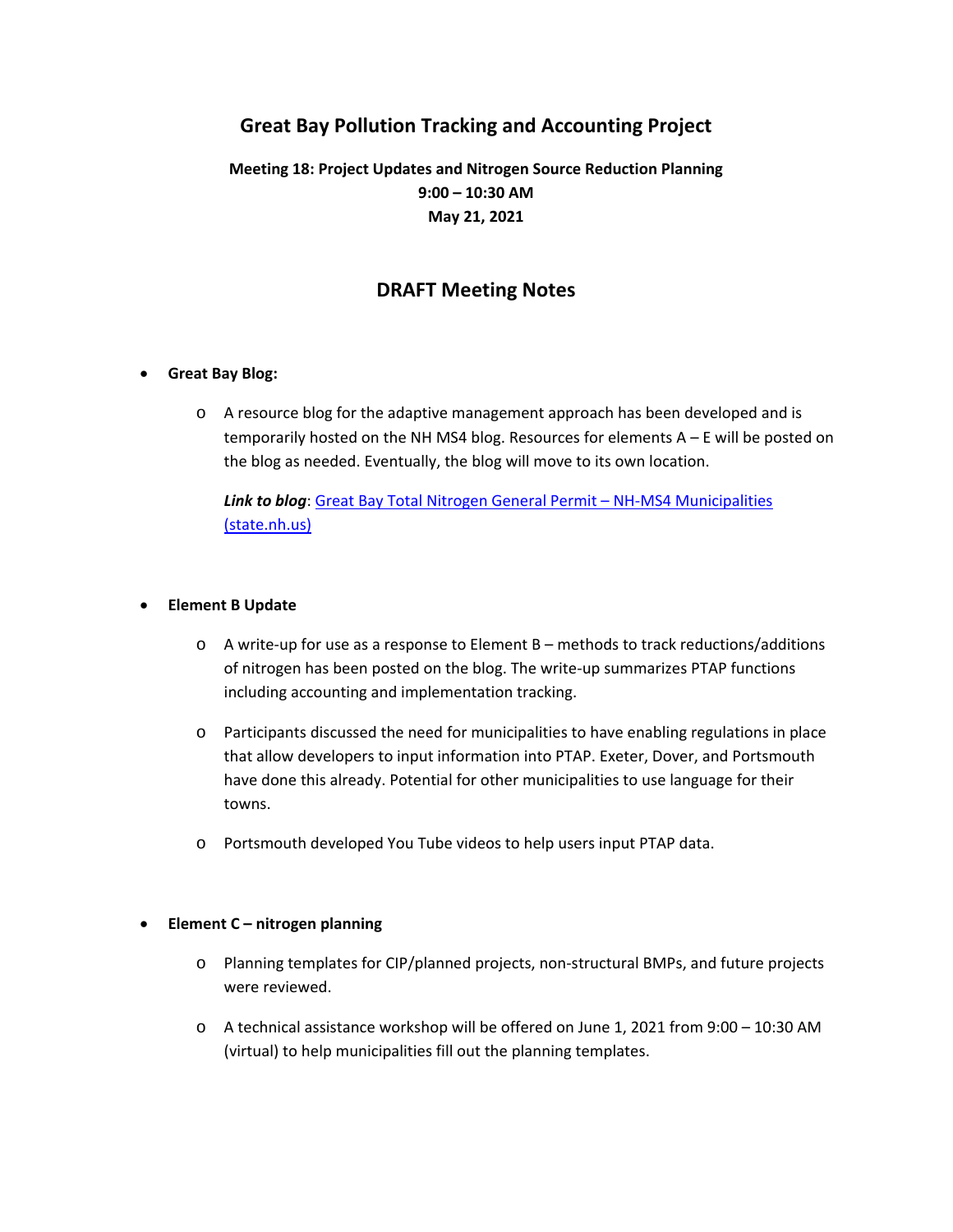# **Great Bay Pollution Tracking and Accounting Project**

## **Meeting 18: Project Updates and Nitrogen Source Reduction Planning 9:00 – 10:30 AM May 21, 2021**

### **DRAFT Meeting Notes**

#### **Great Bay Blog:**

o A resource blog for the adaptive management approach has been developed and is temporarily hosted on the NH MS4 blog. Resources for elements  $A - E$  will be posted on the blog as needed. Eventually, the blog will move to its own location.

*Link to blog*: Great Bay Total Nitrogen General Permit – NH‐MS4 Municipalities (state.nh.us)

#### **Element B Update**

- o A write‐up for use as a response to Element B methods to track reductions/additions of nitrogen has been posted on the blog. The write‐up summarizes PTAP functions including accounting and implementation tracking.
- o Participants discussed the need for municipalities to have enabling regulations in place that allow developers to input information into PTAP. Exeter, Dover, and Portsmouth have done this already. Potential for other municipalities to use language for their towns.
- o Portsmouth developed You Tube videos to help users input PTAP data.

#### **Element C – nitrogen planning**

- o Planning templates for CIP/planned projects, non‐structural BMPs, and future projects were reviewed.
- o A technical assistance workshop will be offered on June 1, 2021 from 9:00 10:30 AM (virtual) to help municipalities fill out the planning templates.